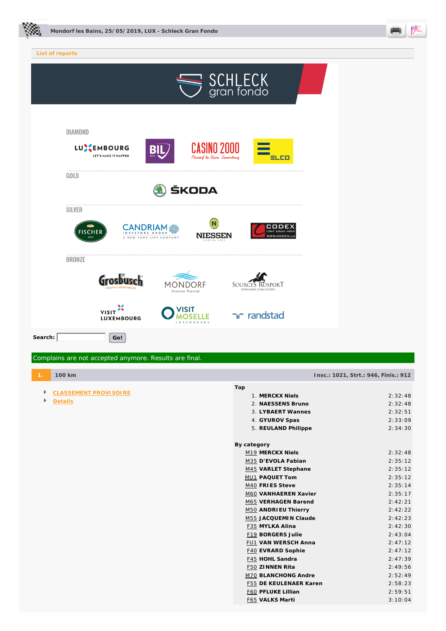



| List of reports                                                                                                                                                      |  |
|----------------------------------------------------------------------------------------------------------------------------------------------------------------------|--|
| SCHLECK<br>gran fondo                                                                                                                                                |  |
| DIAMOND<br><b>CASINO 2000</b><br>LUSEMBOURG<br><b>BIL</b><br>LET'S MAKE IT HAPPEN<br>1856<br>Mondorf-les-Bains, Luxembourg<br>크니디                                    |  |
| GOLD<br>ŠKODA                                                                                                                                                        |  |
| <b>SILVER</b><br>'N<br>CODEX<br><b>CANDRIAM</b><br><b>FISCHER</b><br>LIGHT-SOUND-VIDEO<br>GROUI<br><b>NIESSEN</b><br>WWW.CODEX.LL<br>1913<br>A NEW YORK LIFE COMPANY |  |
| <b>BRONZE</b>                                                                                                                                                        |  |
| Grosbusch<br>MONDORF<br>SOURCES ROSPORT<br><b>UITS &amp; VEGETABLE</b><br>D'WAASSER VUM LIEWEN<br>Domaine Thermal                                                    |  |
| VISIT <sup>36</sup><br>/ISIT<br>randstad<br><b>OSELLE</b><br><b>LUXEMBOURG</b><br>LUXEMBOURG                                                                         |  |
| Search:<br>Go!                                                                                                                                                       |  |
| Complains are not accepted anymore. Results are final.                                                                                                               |  |

- **CLASSEMENT PROVISOIRE**
- ▶ **Details**

**1. 100 km Insc.: 1021, Strt.: 946, Finis.: 912** 

| Top                    |         |
|------------------------|---------|
| 1. MERCKX Niels        | 2:32:48 |
| 2. NAESSENS Bruno      | 2:32:48 |
| 3. LYBAERT Wannes      | 2:32:51 |
| 4. GYUROV Spas         | 2:33:09 |
| 5. REULAND Philippe    | 2:34:30 |
|                        |         |
| By category            |         |
| M19 MERCKX Niels       | 2:32:48 |
| M35 D'EVOLA Fabian     | 2:35:12 |
| M45 VARLET Stephane    | 2:35:12 |
| MU1 PAQUET Tom         | 2:35:12 |
| M40 FRIES Steve        | 2:35:14 |
| M60 VANHAEREN Xavier   | 2:35:17 |
| M65 VERHAGEN Barend    | 2:42:21 |
| M50 ANDRIEU Thierry    | 2:42:22 |
| M55 JACQUEMIN Claude   | 2:42:23 |
| F35 MYLKA Alina        | 2:42:30 |
| F19 BORGERS Julie      | 2:43:04 |
| FU1 VAN WERSCH Anna    | 2:47:12 |
| F40 EVRARD Sophie      | 2:47:12 |
| F45 HOHL Sandra        | 2:47:39 |
| F50 ZINNEN Rita        | 2:49:56 |
| M70 BLANCHONG Andre    | 2:52:49 |
| F55 DE KEULENAER Karen | 2:58:23 |
| F60 PFLUKE Lillian     | 2:59:51 |
| F65 VALKS Marti        | 3:10:04 |